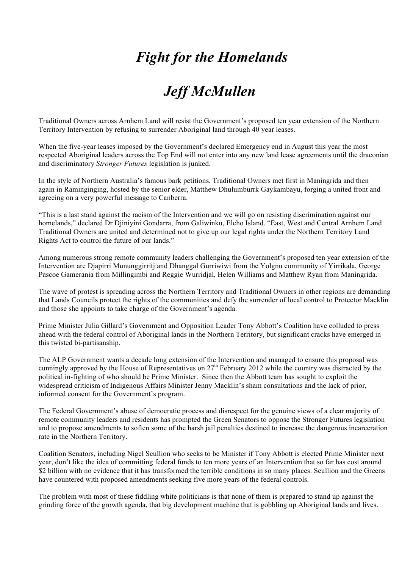## *Fight for the Homelands*

## *Jeff McMullen*

Traditional Owners across Arnhem Land will resist the Government's proposed ten year extension of the Northern Territory Intervention by refusing to surrender Aboriginal land through 40 year leases.

When the five-year leases imposed by the Government's declared Emergency end in August this year the most respected Aboriginal leaders across the Top End will not enter into any new land lease agreements until the draconian and discriminatory *Stronger Futures* legislation is junked.

In the style of Northern Australia's famous bark petitions, Traditional Owners met first in Maningrida and then again in Raminginging, hosted by the senior elder, Matthew Dhulumburrk Gaykambayu, forging a united front and agreeing on a very powerful message to Canberra.

"This is a last stand against the racism of the Intervention and we will go on resisting discrimination against our homelands," declared Dr Djiniyini Gondarra, from Galiwinku, Elcho Island. "East, West and Central Arnhem Land Traditional Owners are united and determined not to give up our legal rights under the Northern Territory Land Rights Act to control the future of our lands."

Among numerous strong remote community leaders challenging the Government's proposed ten year extension of the Intervention are Djapirri Mununggirritj and Dhanggal Gurriwiwi from the Yolgnu community of Yirrikala, George Pascoe Gamerania from Millingimbi and Reggie Wurridjal, Helen Williams and Matthew Ryan from Maningrida.

The wave of protest is spreading across the Northern Territory and Traditional Owners in other regions are demanding that Lands Councils protect the rights of the communities and defy the surrender of local control to Protector Macklin and those she appoints to take charge of the Government's agenda.

Prime Minister Julia Gillard's Government and Opposition Leader Tony Abbott's Coalition have colluded to press ahead with the federal control of Aboriginal lands in the Northern Territory, but significant cracks have emerged in this twisted bi-partisanship.

The ALP Government wants a decade long extension of the Intervention and managed to ensure this proposal was cunningly approved by the House of Representatives on 27<sup>th</sup> February 2012 while the country was distracted by the political in-fighting of who should be Prime Minister. Since then the Abbott team has sought to exploit the widespread criticism of Indigenous Affairs Minister Jenny Macklin's sham consultations and the lack of prior, informed consent for the Government's program.

The Federal Government's abuse of democratic process and disrespect for the genuine views of a clear majority of remote community leaders and residents has prompted the Green Senators to oppose the Stronger Futures legislation and to propose amendments to soften some of the harsh jail penalties destined to increase the dangerous incarceration rate in the Northern Territory.

Coalition Senators, including Nigel Scullion who seeks to be Minister if Tony Abbott is elected Prime Minister next year, don't like the idea of committing federal funds to ten more years of an Intervention that so far has cost around \$2 billion with no evidence that it has transformed the terrible conditions in so many places. Scullion and the Greens have countered with proposed amendments seeking five more years of the federal controls.

The problem with most of these fiddling white politicians is that none of them is prepared to stand up against the grinding force of the growth agenda, that big development machine that is gobbling up Aboriginal lands and lives.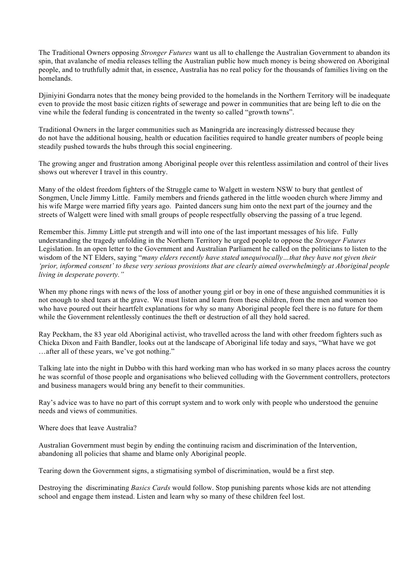The Traditional Owners opposing *Stronger Futures* want us all to challenge the Australian Government to abandon its spin, that avalanche of media releases telling the Australian public how much money is being showered on Aboriginal people, and to truthfully admit that, in essence, Australia has no real policy for the thousands of families living on the homelands.

Djiniyini Gondarra notes that the money being provided to the homelands in the Northern Territory will be inadequate even to provide the most basic citizen rights of sewerage and power in communities that are being left to die on the vine while the federal funding is concentrated in the twenty so called "growth towns".

Traditional Owners in the larger communities such as Maningrida are increasingly distressed because they do not have the additional housing, health or education facilities required to handle greater numbers of people being steadily pushed towards the hubs through this social engineering.

The growing anger and frustration among Aboriginal people over this relentless assimilation and control of their lives shows out wherever I travel in this country.

Many of the oldest freedom fighters of the Struggle came to Walgett in western NSW to bury that gentlest of Songmen, Uncle Jimmy Little. Family members and friends gathered in the little wooden church where Jimmy and his wife Marge were married fifty years ago. Painted dancers sung him onto the next part of the journey and the streets of Walgett were lined with small groups of people respectfully observing the passing of a true legend.

Remember this. Jimmy Little put strength and will into one of the last important messages of his life. Fully understanding the tragedy unfolding in the Northern Territory he urged people to oppose the *Stronger Futures*  Legislation. In an open letter to the Government and Australian Parliament he called on the politicians to listen to the wisdom of the NT Elders, saying "*many elders recently have stated unequivocally…that they have not given their 'prior, informed consent' to these very serious provisions that are clearly aimed overwhelmingly at Aboriginal people living in desperate poverty."*

When my phone rings with news of the loss of another young girl or boy in one of these anguished communities it is not enough to shed tears at the grave. We must listen and learn from these children, from the men and women too who have poured out their heartfelt explanations for why so many Aboriginal people feel there is no future for them while the Government relentlessly continues the theft or destruction of all they hold sacred.

Ray Peckham, the 83 year old Aboriginal activist, who travelled across the land with other freedom fighters such as Chicka Dixon and Faith Bandler, looks out at the landscape of Aboriginal life today and says, "What have we got …after all of these years, we've got nothing."

Talking late into the night in Dubbo with this hard working man who has worked in so many places across the country he was scornful of those people and organisations who believed colluding with the Government controllers, protectors and business managers would bring any benefit to their communities.

Ray's advice was to have no part of this corrupt system and to work only with people who understood the genuine needs and views of communities.

Where does that leave Australia?

Australian Government must begin by ending the continuing racism and discrimination of the Intervention, abandoning all policies that shame and blame only Aboriginal people.

Tearing down the Government signs, a stigmatising symbol of discrimination, would be a first step.

Destroying the discriminating *Basics Cards* would follow. Stop punishing parents whose kids are not attending school and engage them instead. Listen and learn why so many of these children feel lost.